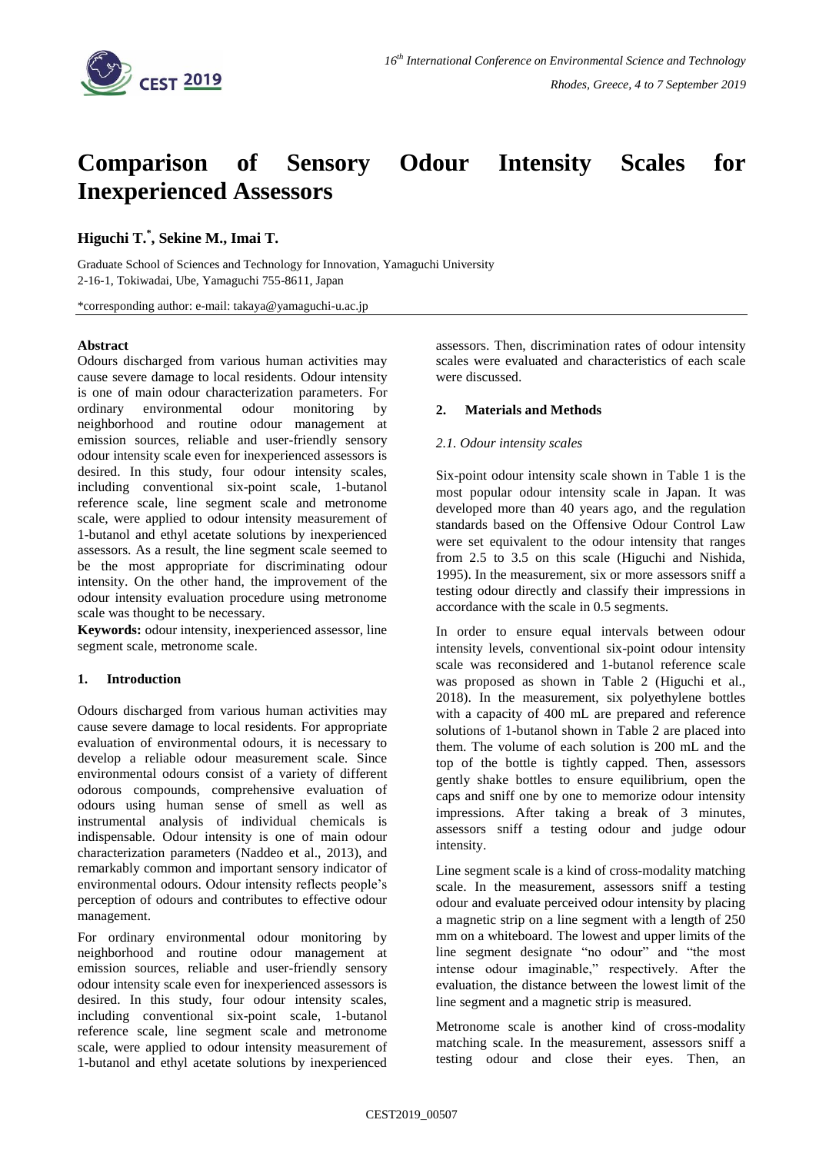

# **Comparison of Sensory Odour Intensity Scales for Inexperienced Assessors**

# **Higuchi T. \* , Sekine M., Imai T.**

Graduate School of Sciences and Technology for Innovation, Yamaguchi University 2-16-1, Tokiwadai, Ube, Yamaguchi 755-8611, Japan

\*corresponding author: e-mail: takaya@yamaguchi-u.ac.jp

#### **Abstract**

Odours discharged from various human activities may cause severe damage to local residents. Odour intensity is one of main odour characterization parameters. For ordinary environmental odour monitoring by neighborhood and routine odour management at emission sources, reliable and user-friendly sensory odour intensity scale even for inexperienced assessors is desired. In this study, four odour intensity scales, including conventional six-point scale, 1-butanol reference scale, line segment scale and metronome scale, were applied to odour intensity measurement of 1-butanol and ethyl acetate solutions by inexperienced assessors. As a result, the line segment scale seemed to be the most appropriate for discriminating odour intensity. On the other hand, the improvement of the odour intensity evaluation procedure using metronome scale was thought to be necessary.

**Keywords:** odour intensity, inexperienced assessor, line segment scale, metronome scale.

#### **1. Introduction**

Odours discharged from various human activities may cause severe damage to local residents. For appropriate evaluation of environmental odours, it is necessary to develop a reliable odour measurement scale. Since environmental odours consist of a variety of different odorous compounds, comprehensive evaluation of odours using human sense of smell as well as instrumental analysis of individual chemicals is indispensable. Odour intensity is one of main odour characterization parameters (Naddeo et al., 2013), and remarkably common and important sensory indicator of environmental odours. Odour intensity reflects people's perception of odours and contributes to effective odour management.

For ordinary environmental odour monitoring by neighborhood and routine odour management at emission sources, reliable and user-friendly sensory odour intensity scale even for inexperienced assessors is desired. In this study, four odour intensity scales, including conventional six-point scale, 1-butanol reference scale, line segment scale and metronome scale, were applied to odour intensity measurement of 1-butanol and ethyl acetate solutions by inexperienced assessors. Then, discrimination rates of odour intensity scales were evaluated and characteristics of each scale were discussed.

### **2. Materials and Methods**

### *2.1. Odour intensity scales*

Six-point odour intensity scale shown in Table 1 is the most popular odour intensity scale in Japan. It was developed more than 40 years ago, and the regulation standards based on the Offensive Odour Control Law were set equivalent to the odour intensity that ranges from 2.5 to 3.5 on this scale (Higuchi and Nishida, 1995). In the measurement, six or more assessors sniff a testing odour directly and classify their impressions in accordance with the scale in 0.5 segments.

In order to ensure equal intervals between odour intensity levels, conventional six-point odour intensity scale was reconsidered and 1-butanol reference scale was proposed as shown in Table 2 (Higuchi et al., 2018). In the measurement, six polyethylene bottles with a capacity of 400 mL are prepared and reference solutions of 1-butanol shown in Table 2 are placed into them. The volume of each solution is 200 mL and the top of the bottle is tightly capped. Then, assessors gently shake bottles to ensure equilibrium, open the caps and sniff one by one to memorize odour intensity impressions. After taking a break of 3 minutes, assessors sniff a testing odour and judge odour intensity.

Line segment scale is a kind of cross-modality matching scale. In the measurement, assessors sniff a testing odour and evaluate perceived odour intensity by placing a magnetic strip on a line segment with a length of 250 mm on a whiteboard. The lowest and upper limits of the line segment designate "no odour" and "the most intense odour imaginable," respectively. After the evaluation, the distance between the lowest limit of the line segment and a magnetic strip is measured.

Metronome scale is another kind of cross-modality matching scale. In the measurement, assessors sniff a testing odour and close their eyes. Then, an